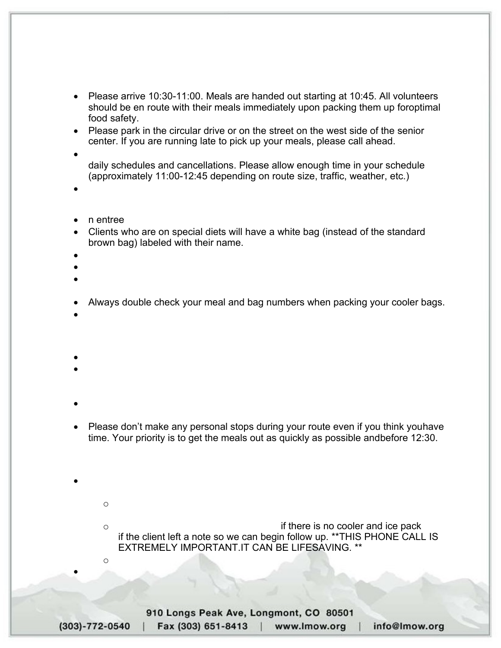## $= bZcf$  a Uh  $]cb$   $Zcf$   $Jc$   $i$   $b hYYf$   $8f$   $]$   $j Yf$   $g$

Arriving at Longmont Meals on Wheels (located at the Longmont Senior Center):

- Please arrive 10:30-11:00. Meals are handed out starting at 10:45. All volunteers should be en route with their meals immediately upon packing them up for optimal food safety.
- Please park in the circular drive or on the street on the west side of the senior center. If you are running late to pick up your meals, please call ahead.
- Your weekly assigned route will have a varying number of stops due to clients' daily schedules and cancellations. Please allow enough time in your schedule (approximately 11:00-12:45 depending on route size, traffic, weather, etc.)
- \*\*Please understand that route preferences cannot be guaranteed.

Picking up meals:

- Each meal consists of two parts an entree and a cold bag.
- Clients who are on special diets will have a white bag (instead of the standard brown bag) labeled with their name.
- Special hot meals are labeled with the client's name.
- Always pack the meals in the provided cooler bags for proper food safety.
- Pro tip Stack the meals for your routes (hot portions and cold portions separately) in order from the bottom of your route sheet up.
- Always double check your meal and bag numbers when packing your cooler bags.
- If you leave and realize you have an error in meal counts, call our office immediately to determine the next step.

On route:

- We have tried to prepare the routes in the best possible order.
- You are welcome to reorder the route according to your needs and where you want it to end if all clients get their correct meal and as timely as possible for proper food safety guidelines.
- Delivery instructions DO change. Always check your route sheets for new information. Please contact us with questions.
- Please don't make any personal stops during your route even if you think you have time. Your priority is to get the meals out as quickly as possible and before 12:30.

Delivery to clients:

- If there is no answer at the client's home after giving ample time: (Be sure to read the client notes on your route sheet for helpful tips regarding each client.)
	- o Only leave a meal if there is a cooler with ice or the route sheet instructs you to do so.
	- o Always call the office IMMEDIATELY if there is no cooler and ice pack, even if the client left a note so we can begin follow up. \*\*THIS PHONE CALL IS EXTREMELY IMPORTANT. IT CAN BE LIFESAVING. \*\*
	- o Leave a voicemail at our office if you don't reach us.
- When you return, leave your route sheets on the shredder so we can protect confidentiality.

910 Longs Peak Ave, Longmont, CO 80501 Fax (303) 651-8413 | www.lmow.org  $(303) - 772 - 0540$ info@Imow.org